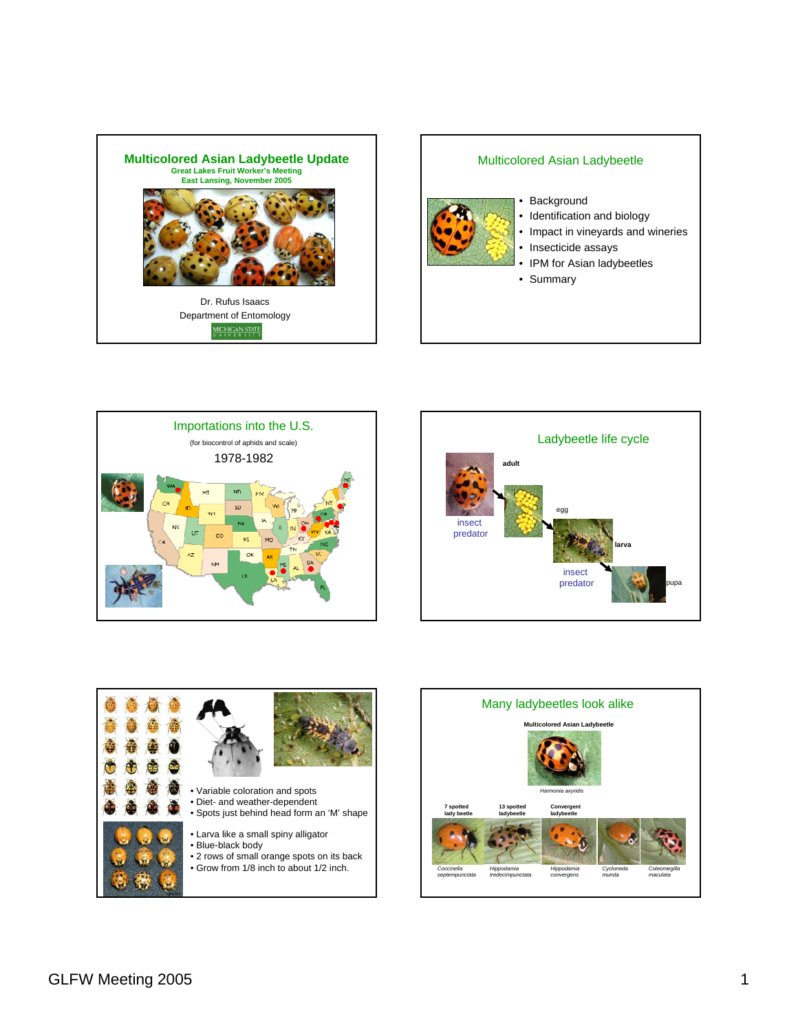

## Multicolored Asian Ladybeetle



- Background
- Identification and biology
- Impact in vineyards and wineries
- Insecticide assays
- IPM for Asian ladybeetles
- Summary







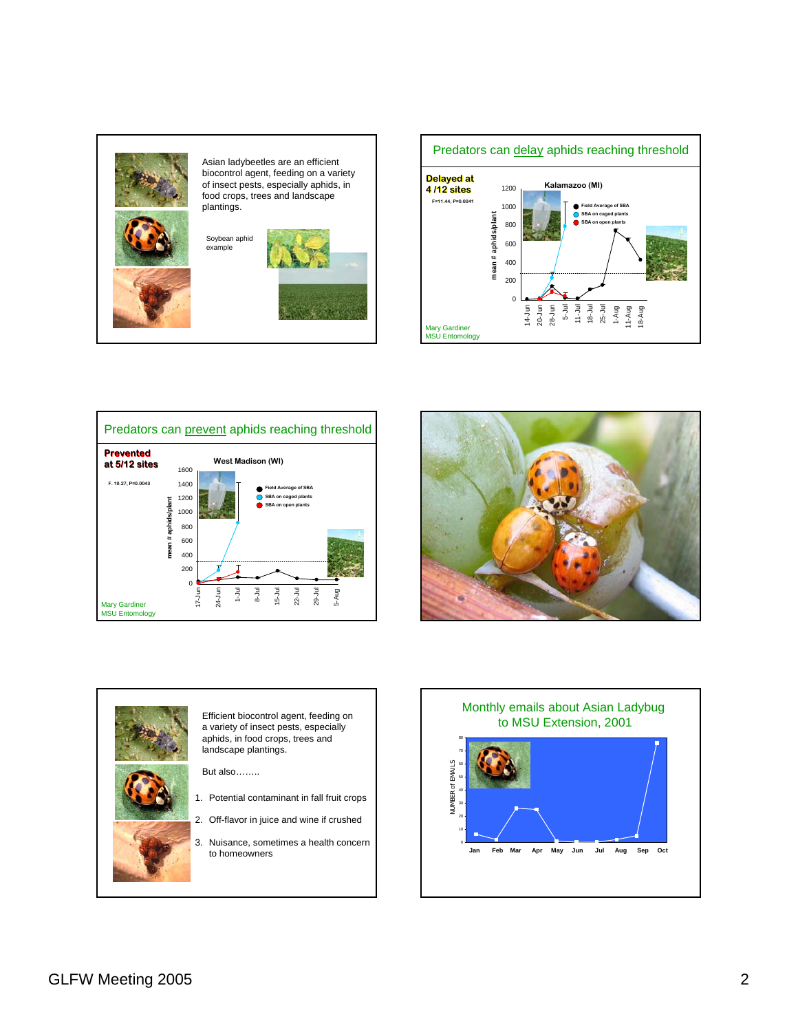









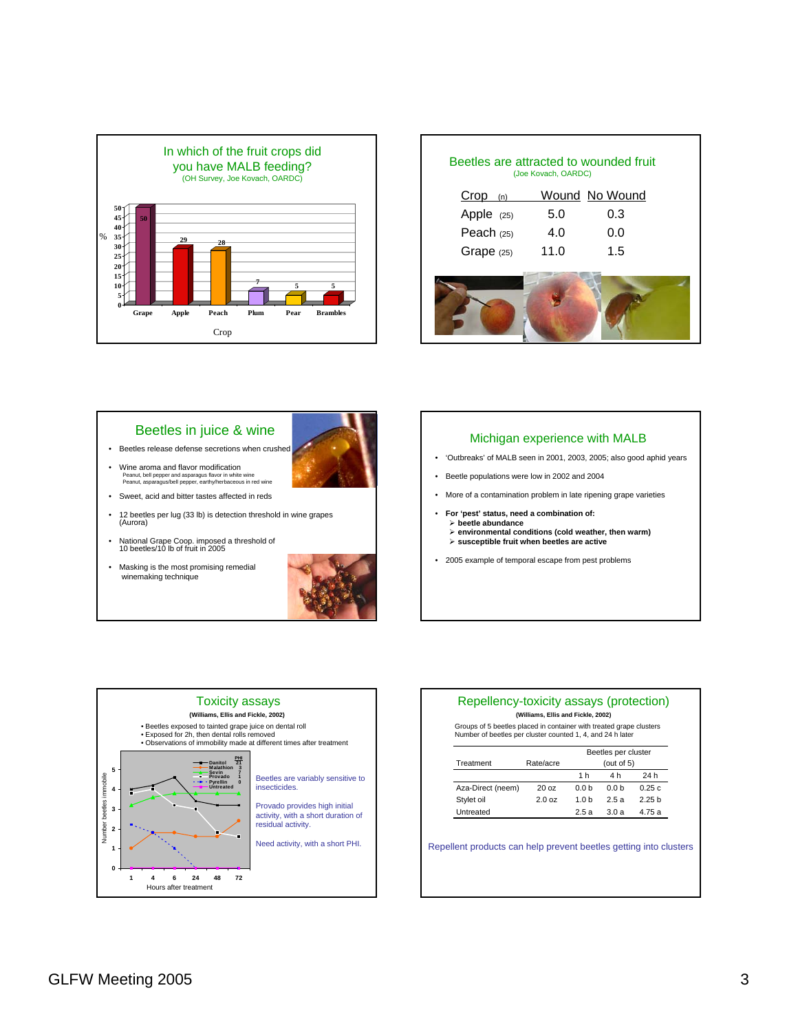

| Beetles are attracted to wounded fruit<br>(Joe Kovach, OARDC) |      |                |  |  |  |  |
|---------------------------------------------------------------|------|----------------|--|--|--|--|
| $Crop$ (n)                                                    |      | Wound No Wound |  |  |  |  |
| Apple (25)                                                    | 5.0  | 0.3            |  |  |  |  |
| Peach $(25)$                                                  | 4.0  | 0.0            |  |  |  |  |
| Grape (25)                                                    | 11.0 | 1.5            |  |  |  |  |
|                                                               |      |                |  |  |  |  |

### Beetles in juice & wine

- Beetles release defense secretions when crushed
- Wine aroma and flavor modification Peanut, bell pepper and asparagus flavor in white wine Peanut, asparagus/bell pepper, earthy/herbaceous in red wine
- Sweet, acid and bitter tastes affected in reds
- 12 beetles per lug (33 lb) is detection threshold in wine grapes (Aurora)
- National Grape Coop. imposed a threshold of 10 beetles/10 lb of fruit in 2005
- Masking is the most promising remedial winemaking technique





#### Michigan experience with MALB

- 'Outbreaks' of MALB seen in 2001, 2003, 2005; also good aphid years
- Beetle populations were low in 2002 and 2004
- More of a contamination problem in late ripening grape varieties
- **For 'pest' status, need a combination of:**  ¾ **beetle abundance** ¾ **environmental conditions (cold weather, then warm)** ¾ **susceptible fruit when beetles are active**
- 2005 example of temporal escape from pest problems



#### Repellency-toxicity assays (protection) **(Williams, Ellis and Fickle, 2002)**

Groups of 5 beetles placed in container with treated grape clusters Number of beetles per cluster counted 1, 4, and 24 h later

|                   |                 | Beetles per cluster |     |       |
|-------------------|-----------------|---------------------|-----|-------|
| Treatment         | Rate/acre       | (out of $5$ )       |     |       |
|                   |                 | 1 h                 | 4 h | 24 h  |
| Aza-Direct (neem) | 20 <sub>0</sub> | 0 0 b               | 00h | 0.25c |
| Stylet oil        | 200z            | 1 0 h               | 25a | 225h  |
| Untreated         |                 | 25a                 | 30a | 475 a |

Repellent products can help prevent beetles getting into clusters